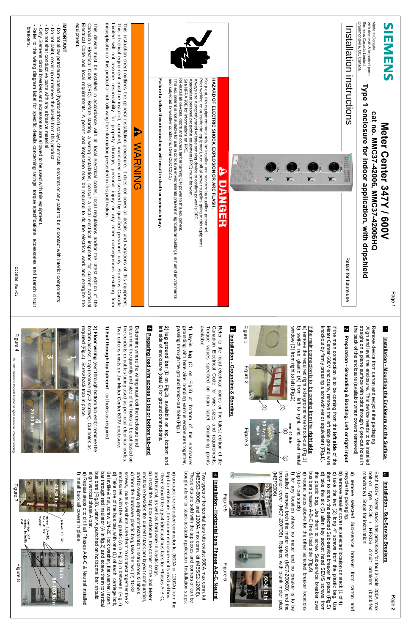







|                                         | <b>IMPORTANT</b><br>- Do not allow pe<br>- Do not paint, cor<br>- Do not alter cor<br>- Refer to the wi<br>breakers.                                                                                                                                                                                      |                                                                                                                                                                                                                                |                                                                                                                                                                                                                                                       |                                                                                                                                          | <b>VE</b>                                                                                                                                                                                                                               |                                                                                                                                                 |                                                                                      |                                                                                                                                                                                                                                                                                                              |                                                                                                                                                                                                              | Installation                                  | ب imported p<br>ada Limited<br>e, Qc, Canad <sup>a</sup>                                                                                                                                                                                               | $\overline{\mathbf{S}}$<br><b>HNENS</b>                         |
|-----------------------------------------|-----------------------------------------------------------------------------------------------------------------------------------------------------------------------------------------------------------------------------------------------------------------------------------------------------------|--------------------------------------------------------------------------------------------------------------------------------------------------------------------------------------------------------------------------------|-------------------------------------------------------------------------------------------------------------------------------------------------------------------------------------------------------------------------------------------------------|------------------------------------------------------------------------------------------------------------------------------------------|-----------------------------------------------------------------------------------------------------------------------------------------------------------------------------------------------------------------------------------------|-------------------------------------------------------------------------------------------------------------------------------------------------|--------------------------------------------------------------------------------------|--------------------------------------------------------------------------------------------------------------------------------------------------------------------------------------------------------------------------------------------------------------------------------------------------------------|--------------------------------------------------------------------------------------------------------------------------------------------------------------------------------------------------------------|-----------------------------------------------|--------------------------------------------------------------------------------------------------------------------------------------------------------------------------------------------------------------------------------------------------------|-----------------------------------------------------------------|
|                                         | v petroleum-based (hydrocarbon) sprays, chemit, cover up or remove the labels from this produconductive parts with any abrasive material.<br>conductive parts with any abrasive material.<br>ns circuit breakers and accessories are<br>llowed to be used <sup>,</sup><br>s concerning ratin <sub>(</sub> | device must be installed in accordance with all local electrical codes, local regidian Electrical Code (CEC). Before starting a wiring installation, consult a local tregidian Electrical Code (CEC). Before starting a wiring | This instruction sheet outlines the general installation procedure. It does not cover all detai<br>This electrical equipment must be installed, operated, maintained and serviced by qualified<br>Limited will not assume responsibi<br>Þ             | ailure to follow these instructions<br>$\bar{a}$                                                                                         | Keep out, this equipment must only be installed and serviced by qualified personnel<br>Prior working on or inside the equipment, turn off all power supplies going to this eq<br>Always use a properly rated voltage sensing device     | <b>AND SECTED SHOCK, EXPLOSION OR ARC FLASH.</b><br>HAZARD OF ELECTRIC SHOCK, EXPLOSION OR ARC FLASH.                                           |                                                                                      |                                                                                                                                                                                                                                                                                                              |                                                                                                                                                                                                              | instructions                                  | Type 1 enclosure for indoor application, with dripshield<br>cat<br>Meter Center 3<br>It no. MMC37-42006,                                                                                                                                               |                                                                 |
|                                         | ith the<br>s, tor<br>်<br>ကို ကို                                                                                                                                                                                                                                                                         | $\frac{\partial}{\partial \alpha}$<br>ed it<br>a<br>a<br>fi                                                                                                                                                                    | <b>WARNING</b><br>tails and<br>ied persc<br>other ^                                                                                                                                                                                                   | ılt in de<br>ath or serious inji                                                                                                         |                                                                                                                                                                                                                                         |                                                                                                                                                 | <b>INC.</b>                                                                          | $\mathbf{m}$                                                                                                                                                                                                                                                                                                 | $\mathbf{E}$ .<br>$\mathbf{m}$                                                                                                                                                                               |                                               | <b>42006HQ</b>                                                                                                                                                                                                                                         | <b>247Y / 600V<br/>6, MMC37-42000-16</b>                        |
|                                         |                                                                                                                                                                                                                                                                                                           | . ਤਾ 5ੋ<br>the latest edition of the<br>octor for current National<br>Il work and energize the                                                                                                                                 | variations of this equipment.<br>pnnel only. Siemens Canada<br>onsequences resulting from                                                                                                                                                             |                                                                                                                                          |                                                                                                                                                                                                                                         |                                                                                                                                                 |                                                                                      |                                                                                                                                                                                                                                                                                                              |                                                                                                                                                                                                              | n for                                         |                                                                                                                                                                                                                                                        | age                                                             |
| ള്<br>$\bar{5}$                         |                                                                                                                                                                                                                                                                                                           | 2) Floor wiring (exit through bottom tub-end): remove the<br>bottom access trap (remove qty=2 screws). Cut holes as<br>required (Fig.4). Screw back trap in place.<br>$\blacksquare$                                           | 1) Ex<br>cit thro<br>do1 y6n<br>흔                                                                                                                                                                                                                     | 4 Prep<br>2) lug ground bar (D on Fig.3), available on top,<br>left side of enclosure (total 6) for ground connection:<br>ring load wire | $rac{6}{5}$ $\div$                                                                                                                                                                                                                      | Refer to the local electrical codes or the l<br>Canadian Electrical Code for wire sizes<br>Torque values specified on main label.<br>available: | Figure 1<br>8 Installation - Grounding & Bonding<br>ノ<br>TE.<br>$\bar{\bar{\sigma}}$ |                                                                                                                                                                                                                                                                                                              |                                                                                                                                                                                                              | 2 Prepa<br>ration - Grounding & Bonding. Left |                                                                                                                                                                                                                                                        | $\overline{\phantom{a}}$                                        |
|                                         |                                                                                                                                                                                                                                                                                                           |                                                                                                                                                                                                                                | Determine where the wiring must exit the enclosure and<br>determine the quantity and size of the holes to be cut based on<br>the conduits or cables being used as per local electrical codes.<br>Two options exists on the Meter Center<br>$\bar{z}$  | ျဖိ<br>$\frac{1}{2}$<br>or bottom tub<br>bottom<br>Ē                                                                                     | <b>lay-in lug</b> (C on Fig.3) at bottom of the enclosunding with bare wire, bonding various enclosures togetthesime wire, bonding various enclosures togetthesime ground knock-out hole (Fig1)                                         | a latest edition of the latest edition of the latest edition of the latest state requirements.                                                  | $\bigoplus$<br><b>Example 34</b><br>$\overline{\vec{E}}$<br>E                        | If the main connection is to be coming from the <b>right side</b> :<br>a) remove the required right side ground wire knock-out (Fig.1)<br>b) switch red glastic (A) from left to right, and sheet mets<br>window (B) from right to left (Fig<br>$\bigodot$<br>$\Theta_\xi^\texttt{x}$<br>$\sqrt{\mathrm{e}}$ | If the main connection is to be coming from the <b>left side</b> of the<br>Meter Center 600V enclosure, remove the left side ground wire<br>knockout by firmly pressing a screwdriver or equivalent (Fig.1). | or right input                                | Remove device from carton and recycle the packaging.<br>Align and level the enclosure. This device needs to be install<br>straight on a plane surface with bolts through 6 pre-cut holes<br>the back of the enclosure (available when c<br>$\Xi$ $\Xi$ | Installation - Mounting the Enclosure on the Su<br><u>Irfac</u> |
| carriage bolt<br>screw, bellevil<br>nut | screw 1<br>lock &<br>washer<br>$1/4-20$ ,<br>c flat<br>$\overline{c}$                                                                                                                                                                                                                                     |                                                                                                                                                                                                                                | <b>a)</b> un-pack the selected connector it (600A or 1200A) from the<br>the box enclosure, the corner enclosure or it is invidual box.<br><b>b)</b> install the tap box enclosure, in econner or its invidual box.<br><b>b)</b> install the tap box e |                                                                                                                                          | Two types of horizontal bars kits exists: 600A max conn. kit<br>(MBSS3-6006) and 1200A max conn. kit (MBSS2-12006).<br>These kits are sold with the tap boxes and corners or can be<br>bought alone for stack-to-stack application. Ins | $\bullet$<br>Installation - Horizontal bars Phases A-B-C, Neutral<br>등                                                                          |                                                                                      | a) remove selected Sub-service breaker from carton and recycle the packaging.<br>b) renove breaks from at selected location on stack (1 of 4).<br>b) take the two (2) long 4" screws from the plastic bag. Use<br>the the six (6) a                                                                          |                                                                                                                                                                                                              |                                               | Each 600V Me<br>bolt-on type<br>mandatory). St<br>Meter stack<br>oe FXD6 /<br>Steps for in:<br>ack has provis<br>i / HFXD6<br>ir installation:                                                                                                         | <b>(</b><br>Installation - Sub-Service Breakers                 |
| $\mathbb{E}$<br>$\frac{1}{\infty}$      | <b>ACCESS</b><br><b>DEL</b>                                                                                                                                                                                                                                                                               |                                                                                                                                                                                                                                |                                                                                                                                                                                                                                                       |                                                                                                                                          |                                                                                                                                                                                                                                         | Eā                                                                                                                                              | kkeeseettili)<br>$\overline{6}$<br>TOL                                               |                                                                                                                                                                                                                                                                                                              |                                                                                                                                                                                                              |                                               | ion for four 3-pole 200A<br>circuit breakers (back<br>$\vec{\sigma}$                                                                                                                                                                                   | $\mathbf \sigma$<br>9g                                          |